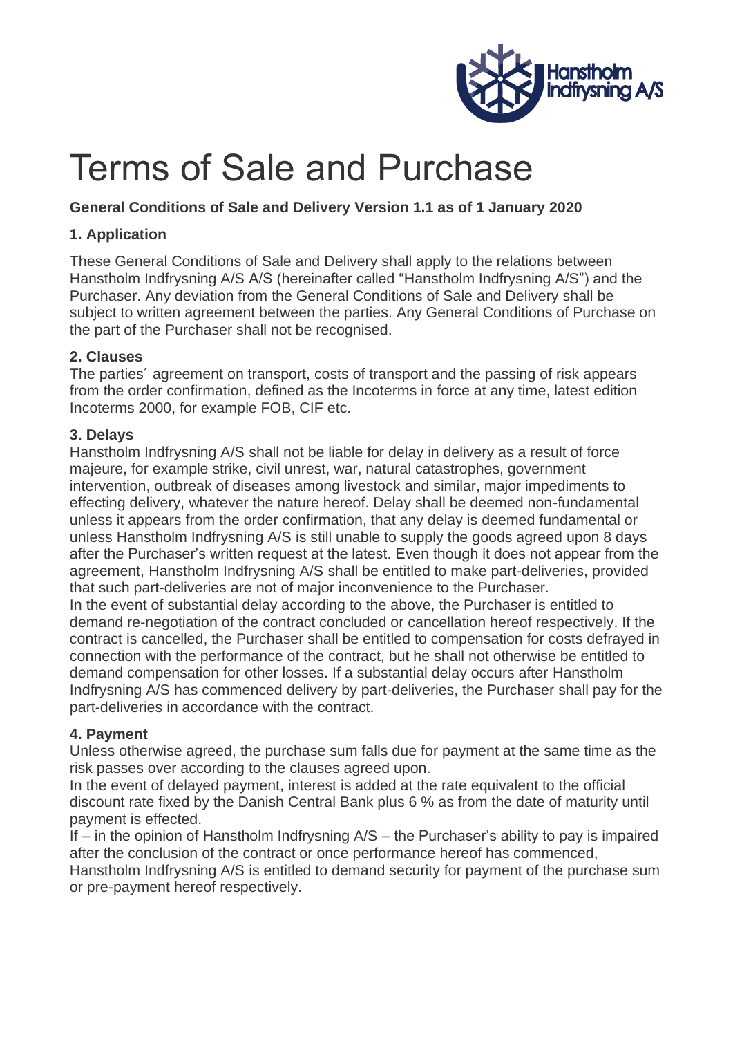

# Terms of Sale and Purchase

# **General Conditions of Sale and Delivery Version 1.1 as of 1 January 2020**

## **1. Application**

These General Conditions of Sale and Delivery shall apply to the relations between Hanstholm Indfrysning A/S A/S (hereinafter called "Hanstholm Indfrysning A/S") and the Purchaser. Any deviation from the General Conditions of Sale and Delivery shall be subject to written agreement between the parties. Any General Conditions of Purchase on the part of the Purchaser shall not be recognised.

## **2. Clauses**

The parties´ agreement on transport, costs of transport and the passing of risk appears from the order confirmation, defined as the Incoterms in force at any time, latest edition Incoterms 2000, for example FOB, CIF etc.

#### **3. Delays**

Hanstholm Indfrysning A/S shall not be liable for delay in delivery as a result of force majeure, for example strike, civil unrest, war, natural catastrophes, government intervention, outbreak of diseases among livestock and similar, major impediments to effecting delivery, whatever the nature hereof. Delay shall be deemed non-fundamental unless it appears from the order confirmation, that any delay is deemed fundamental or unless Hanstholm Indfrysning A/S is still unable to supply the goods agreed upon 8 days after the Purchaser's written request at the latest. Even though it does not appear from the agreement, Hanstholm Indfrysning A/S shall be entitled to make part-deliveries, provided that such part-deliveries are not of major inconvenience to the Purchaser.

In the event of substantial delay according to the above, the Purchaser is entitled to demand re-negotiation of the contract concluded or cancellation hereof respectively. If the contract is cancelled, the Purchaser shall be entitled to compensation for costs defrayed in connection with the performance of the contract, but he shall not otherwise be entitled to demand compensation for other losses. If a substantial delay occurs after Hanstholm Indfrysning A/S has commenced delivery by part-deliveries, the Purchaser shall pay for the part-deliveries in accordance with the contract.

# **4. Payment**

Unless otherwise agreed, the purchase sum falls due for payment at the same time as the risk passes over according to the clauses agreed upon.

In the event of delayed payment, interest is added at the rate equivalent to the official discount rate fixed by the Danish Central Bank plus 6 % as from the date of maturity until payment is effected.

If – in the opinion of Hanstholm Indfrysning A/S – the Purchaser's ability to pay is impaired after the conclusion of the contract or once performance hereof has commenced, Hanstholm Indfrysning A/S is entitled to demand security for payment of the purchase sum or pre-payment hereof respectively.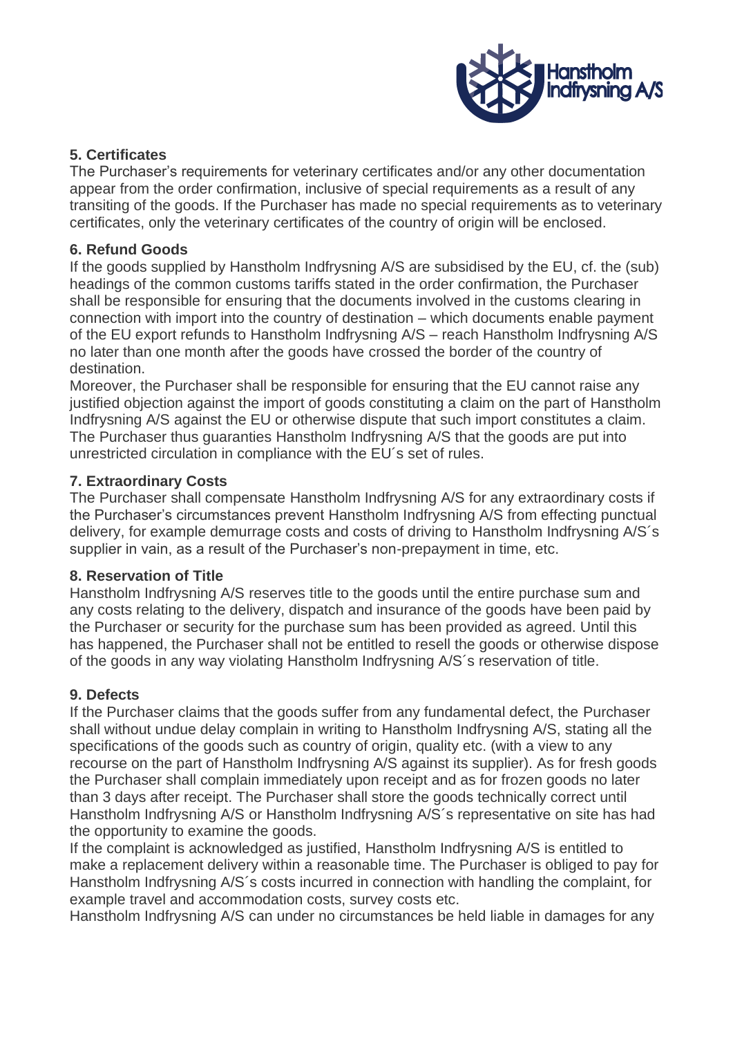

## **5. Certificates**

The Purchaser's requirements for veterinary certificates and/or any other documentation appear from the order confirmation, inclusive of special requirements as a result of any transiting of the goods. If the Purchaser has made no special requirements as to veterinary certificates, only the veterinary certificates of the country of origin will be enclosed.

#### **6. Refund Goods**

If the goods supplied by Hanstholm Indfrysning A/S are subsidised by the EU, cf. the (sub) headings of the common customs tariffs stated in the order confirmation, the Purchaser shall be responsible for ensuring that the documents involved in the customs clearing in connection with import into the country of destination – which documents enable payment of the EU export refunds to Hanstholm Indfrysning A/S – reach Hanstholm Indfrysning A/S no later than one month after the goods have crossed the border of the country of destination.

Moreover, the Purchaser shall be responsible for ensuring that the EU cannot raise any justified objection against the import of goods constituting a claim on the part of Hanstholm Indfrysning A/S against the EU or otherwise dispute that such import constitutes a claim. The Purchaser thus guaranties Hanstholm Indfrysning A/S that the goods are put into unrestricted circulation in compliance with the EU´s set of rules.

## **7. Extraordinary Costs**

The Purchaser shall compensate Hanstholm Indfrysning A/S for any extraordinary costs if the Purchaser's circumstances prevent Hanstholm Indfrysning A/S from effecting punctual delivery, for example demurrage costs and costs of driving to Hanstholm Indfrysning A/S´s supplier in vain, as a result of the Purchaser's non-prepayment in time, etc.

#### **8. Reservation of Title**

Hanstholm Indfrysning A/S reserves title to the goods until the entire purchase sum and any costs relating to the delivery, dispatch and insurance of the goods have been paid by the Purchaser or security for the purchase sum has been provided as agreed. Until this has happened, the Purchaser shall not be entitled to resell the goods or otherwise dispose of the goods in any way violating Hanstholm Indfrysning A/S´s reservation of title.

# **9. Defects**

If the Purchaser claims that the goods suffer from any fundamental defect, the Purchaser shall without undue delay complain in writing to Hanstholm Indfrysning A/S, stating all the specifications of the goods such as country of origin, quality etc. (with a view to any recourse on the part of Hanstholm Indfrysning A/S against its supplier). As for fresh goods the Purchaser shall complain immediately upon receipt and as for frozen goods no later than 3 days after receipt. The Purchaser shall store the goods technically correct until Hanstholm Indfrysning A/S or Hanstholm Indfrysning A/S´s representative on site has had the opportunity to examine the goods.

If the complaint is acknowledged as justified, Hanstholm Indfrysning A/S is entitled to make a replacement delivery within a reasonable time. The Purchaser is obliged to pay for Hanstholm Indfrysning A/S´s costs incurred in connection with handling the complaint, for example travel and accommodation costs, survey costs etc.

Hanstholm Indfrysning A/S can under no circumstances be held liable in damages for any